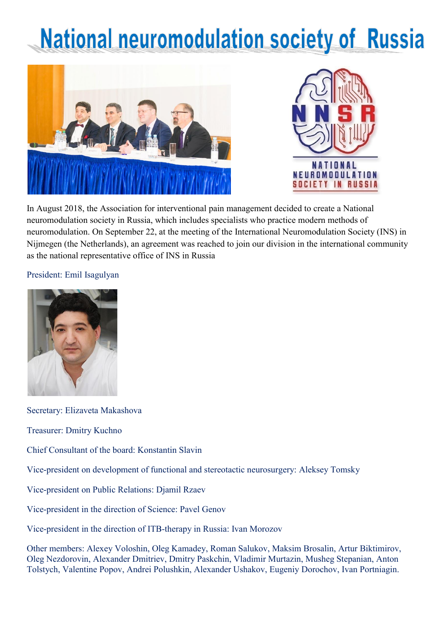## **National neuromodulation society of Russia**





In August 2018, the Association for interventional pain management decided to create a National neuromodulation society in Russia, which includes specialists who practice modern methods of In August 2018, the Association for interventional pain management decided to create a National<br>neuromodulation society in Russia, which includes specialists who practice modern methods of<br>neuromodulation. On September 22, Nijmegen (the Netherlands), an agreement was reached to join our division in the international community as the national representative office of INS in Russia

President: Emil Isagulyan



Secretary: Elizaveta Makashova Treasurer: Dmitry Kuchno Chief Consultant of the board: Konstantin Slavin Vice-president on development of functional and stereotactic neurosurgery: Aleksey Tomsky Vice-president on Public Relations: Djamil Rzaev Vice-president in the direction of Science: Pavel Genov Vice-president in the direction of ITB-therapy in Russia: Ivan Morozov Other members: Alexey Voloshin, Oleg Kamadey, Roman Salukov, Maksim Brosalin, Artur Biktimirov, Oleg Nezdorovin, Alexander Dmitriev, Dmitry P Paskchin, Vladimir Murtazin, Musheg Stepanian, Anton modulation. On September 22, at the meeting of the International<br>
sigen (the Netherlands), an agreement was reached to join our divis<br>
national representative office of INS in Russia<br>
dent: Emil Isagulyan<br>
start: Emil Isag to the Netherlands), an agreement was reached to join our division in the international community<br>antional representative office of INS in Russia<br>cnt: Emil Isagulyan<br>members: Alexey askshows<br>and the board: Konstantin Slavi

Tolstych, Valentine Popov, Andrei Polushkin, Alexander Ushakov, Eugeniy Dorochov, Ivan Portniagin.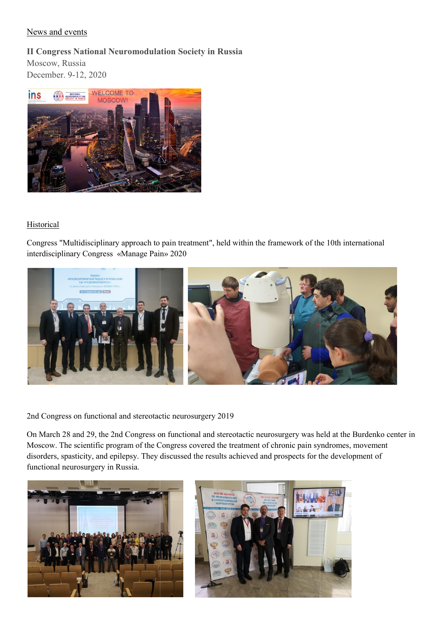## News and events

II Congress National Neuromodulation Society in Russia Moscow, Russia

December. 9-12, 2020



## **Historical**

Congress "Multidisciplinary approach to pain treatment", held within the framework of the 10th international Congress "Multidisciplinary approach to pain tre<br>interdisciplinary Congress «Manage Pain» 2020



2nd Congress on functional and stereotactic neurosurgery 2019

On March 28 and 29, the 2nd Congress on functional and stereotactic neurosurgery was held at the Burdenko center in Moscow. The scientific program of the Congress covered the treatment of chronic pain syndromes, movement disorders, spasticity, and epilepsy. They discussed the results achieved and prospects for the development of functional neurosurgery in Russia.